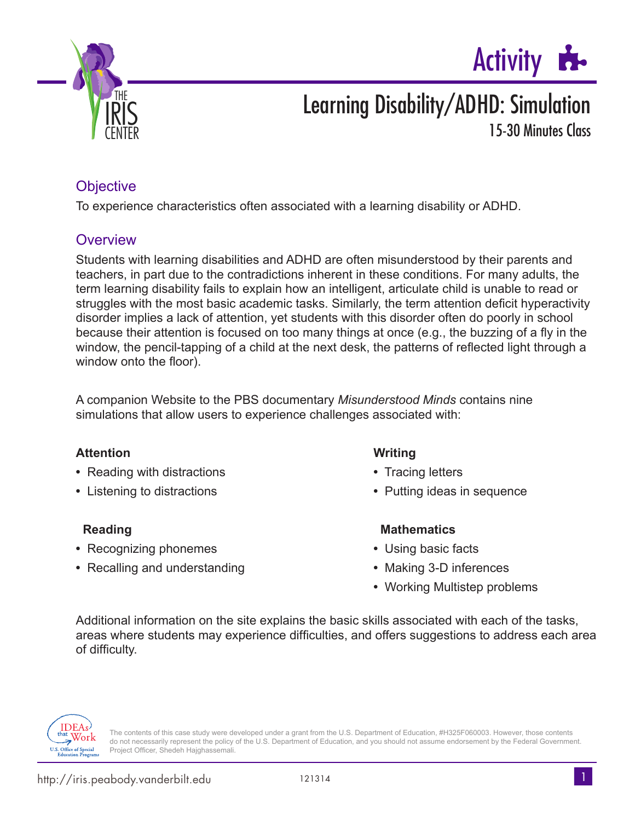



# Learning Disability/ADHD: Simulation

15-30 Minutes Class

## **Objective**

To experience characteristics often associated with a learning disability or ADHD.

## **Overview**

Students with learning disabilities and ADHD are often misunderstood by their parents and teachers, in part due to the contradictions inherent in these conditions. For many adults, the term learning disability fails to explain how an intelligent, articulate child is unable to read or struggles with the most basic academic tasks. Similarly, the term attention deficit hyperactivity disorder implies a lack of attention, yet students with this disorder often do poorly in school because their attention is focused on too many things at once (e.g., the buzzing of a fly in the window, the pencil-tapping of a child at the next desk, the patterns of reflected light through a window onto the floor).

A companion Website to the PBS documentary *Misunderstood Minds* contains nine simulations that allow users to experience challenges associated with:

### **Attention Writing**

- Reading with distractions **•** Tracing letters
- 

- **•** Recognizing phonemes **•** Using basic facts
- **•** Recalling and understanding **•** Making 3-D inferences

- 
- Listening to distractions **•** Putting ideas in sequence

### **Reading Contract Contract Contract Contract Contract Contract Contract Contract Contract Contract Contract Contract Contract Contract Contract Contract Contract Contract Contract Contract Contract Contract Contract Contra**

- 
- 
- **•** Working Multistep problems

Additional information on the site explains the basic skills associated with each of the tasks, areas where students may experience difficulties, and offers suggestions to address each area of difficulty.



The contents of this case study were developed under a grant from the U.S. Department of Education, #H325F060003. However, those contents do not necessarily represent the policy of the U.S. Department of Education, and you should not assume endorsement by the Federal Government. Project Officer, Shedeh Hajghassemali.